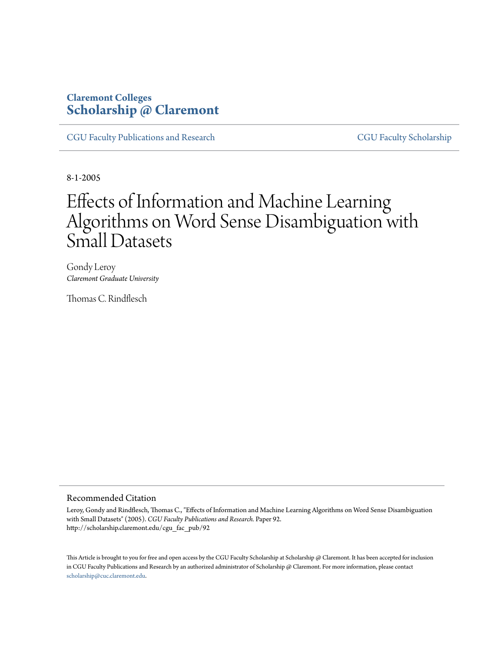# **Claremont Colleges [Scholarship @ Claremont](http://scholarship.claremont.edu)**

[CGU Faculty Publications and Research](http://scholarship.claremont.edu/cgu_fac_pub) [CGU Faculty Scholarship](http://scholarship.claremont.edu/cgu_faculty)

8-1-2005

# Effects of Information and Machine Learning Algorithms on Word Sense Disambiguation with Small Datasets

Gondy Leroy *Claremont Graduate University*

Thomas C. Rindflesch

### Recommended Citation

Leroy, Gondy and Rindflesch, Thomas C., "Effects of Information and Machine Learning Algorithms on Word Sense Disambiguation with Small Datasets" (2005). *CGU Faculty Publications and Research.* Paper 92. http://scholarship.claremont.edu/cgu\_fac\_pub/92

This Article is brought to you for free and open access by the CGU Faculty Scholarship at Scholarship @ Claremont. It has been accepted for inclusion in CGU Faculty Publications and Research by an authorized administrator of Scholarship @ Claremont. For more information, please contact [scholarship@cuc.claremont.edu.](mailto:scholarship@cuc.claremont.edu)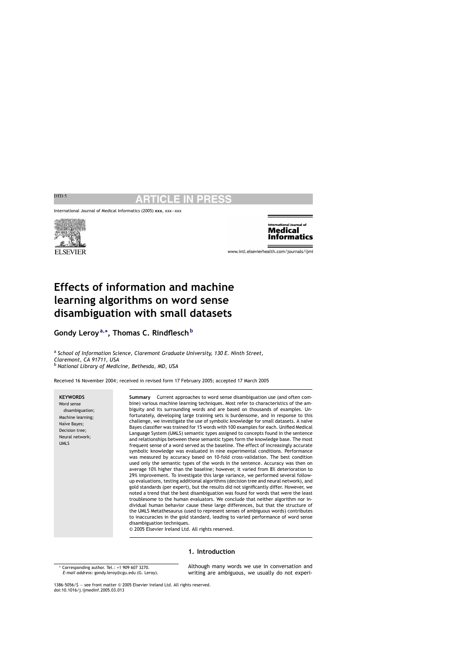International Journal of Medical Informatics (2005) **xxx**, xxx—xxx





www.intl.elsevierhealth.com/journals/ijmi

# **Effects of information and machine learning algorithms on word sense disambiguation with small datasets**

**Gondy Leroy<sup>a</sup>,<sup>∗</sup> , Thomas C. Rindflesch<sup>b</sup>**

<sup>a</sup> *School of Information Science, Claremont Graduate University, 130 E. Ninth Street, Claremont, CA 91711, USA* <sup>b</sup> *National Library of Medicine, Bethesda, MD, USA*

Received 16 November 2004; received in revised form 17 February 2005; accepted 17 March 2005

### **KEYWORDS**

Word sense disambiguation; Machine learning; Naïve Bayes; Decision tree; Neural network; UMLS

**Summary** Current approaches to word sense disambiguation use (and often combine) various machine learning techniques. Most refer to characteristics of the ambiguity and its surrounding words and are based on thousands of examples. Unfortunately, developing large training sets is burdensome, and in response to this challenge, we investigate the use of symbolic knowledge for small datasets. A naïve Bayes classifier was trained for 15 words with 100 examples for each. Unified Medical Language System (UMLS) semantic types assigned to concepts found in the sentence and relationships between these semantic types form the knowledge base. The most frequent sense of a word served as the baseline. The effect of increasingly accurate symbolic knowledge was evaluated in nine experimental conditions. Performance was measured by accuracy based on 10-fold cross-validation. The best condition used only the semantic types of the words in the sentence. Accuracy was then on average 10% higher than the baseline; however, it varied from 8% deterioration to 29% improvement. To investigate this large variance, we performed several followup evaluations, testing additional algorithms (decision tree and neural network), and gold standards (per expert), but the results did not significantly differ. However, we noted a trend that the best disambiguation was found for words that were the least troublesome to the human evaluators. We conclude that neither algorithm nor individual human behavior cause these large differences, but that the structure of the UMLS Metathesaurus (used to represent senses of ambiguous words) contributes to inaccuracies in the gold standard, leading to varied performance of word sense disambiguation techniques.

© 2005 Elsevier Ireland Ltd. All rights reserved.

# **1. Introduction**

\* Corresponding author. Tel.: +1 909 607 3270. *E-mail address:* gondy.leroy@cgu.edu (G. Leroy). Although many words we use in conversation and writing are ambiguous, we usually do not experi-

1386-5056/\$ — see front matter © 2005 Elsevier Ireland Ltd. All rights reserved. doi:10.1016/j.ijmedinf.2005.03.013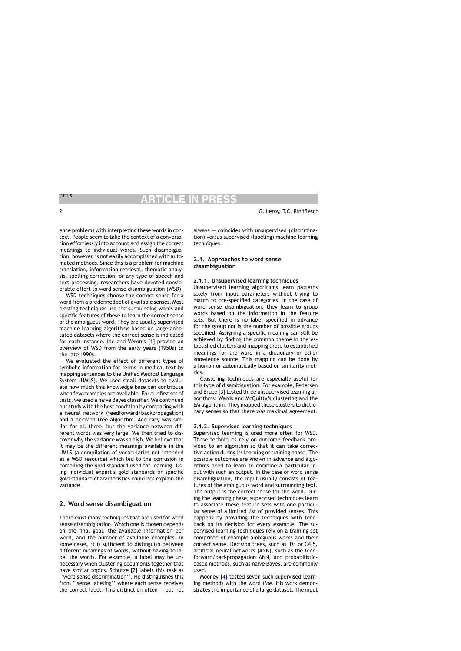ence problems with interpreting these words in context. People seem to take the context of a conversation effortlessly into account and assign the correct meanings to individual words. Such disambiguation, however, is not easily accomplished with automated methods. Since this is a problem for machine translation, information retrieval, thematic analysis, spelling correction, or any type of speech and text processing, researchers have devoted considerable effort to word sense disambiguation (WSD).

WSD techniques choose the correct sense for a word from a predefined set of available senses. Most existing techniques use the surrounding words and specific features of these to learn the correct sense of the ambiguous word. They are usually supervised machine learning algorithms based on large annotated datasets where the correct sense is indicated for each instance. Ide and Véronis [1] provide an overview of WSD from the early years (1950s) to the late 1990s.

We evaluated the effect of different types of symbolic information for terms in medical text by mapping sentences to the Unified Medical Language System (UMLS). We used small datasets to evaluate how much this knowledge base can contribute when few examples are available. For our first set of tests, we used a naïve Bayes classifier. We continued our study with the best condition by comparing with a neural network (feedforward/backpropagation) and a decision tree algorithm. Accuracy was similar for all three, but the variance between different words was very large. We then tried to discover why the variance was so high. We believe that it may be the different meanings available in the UMLS (a compilation of vocabularies not intended as a WSD resource) which led to the confusion in compiling the gold standard used for learning. Using individual expert's gold standards or specific gold standard characteristics could not explain the variance.

# **2. Word sense disambiguation**

There exist many techniques that are used for word sense disambiguation. Which one is chosen depends on the final goal, the available information per word, and the number of available examples. In some cases, it is sufficient to distinguish between different meanings of words, without having to label the words. For example, a label may be unnecessary when clustering documents together that have similar topics. Schütze [2] labels this task as ''word sense discrimination''. He distinguishes this from ''sense labeling'' where each sense receives the correct label. This distinction often — but not

always — coincides with unsupervised (discrimination) versus supervised (labeling) machine learning techniques.

# **2.1. Approaches to word sense disambiguation**

# **2.1.1. Unsupervised learning techniques**

Unsupervised learning algorithms learn patterns solely from input parameters without trying to match to pre-specified categories. In the case of word sense disambiguation, they learn to group words based on the information in the feature sets. But there is no label specified in advance for the group nor is the number of possible groups specified. Assigning a specific meaning can still be achieved by finding the common theme in the established clusters and mapping these to established meanings for the word in a dictionary or other knowledge source. This mapping can be done by a human or automatically based on similarity metrics.

Clustering techniques are especially useful for this type of disambiguation. For example, Pedersen and Bruce [3] tested three unsupervised learning algorithms: Wards and McQuitty's clustering and the EM algorithm. They mapped these clusters to dictionary senses so that there was maximal agreement.

### **2.1.2. Supervised learning techniques**

Supervised learning is used more often for WSD. These techniques rely on outcome feedback provided to an algorithm so that it can take corrective action during its learning or training phase. The possible outcomes are known in advance and algorithms need to learn to combine a particular input with such an output. In the case of word sense disambiguation, the input usually consists of features of the ambiguous word and surrounding text. The output is the correct sense for the word. During the learning phase, supervised techniques learn to associate these feature sets with one particular sense of a limited list of provided senses. This happens by providing the techniques with feedback on its decision for every example. The supervised learning techniques rely on a training set comprised of example ambiguous words and their correct sense. Decision trees, such as ID3 or C4.5, artificial neural networks (ANN), such as the feedforward/backpropagation ANN, and probabilisticbased methods, such as naïve Bayes, are commonly used.

Mooney [4] tested seven such supervised learning methods with the word *line*. His work demonstrates the importance of a large dataset. The input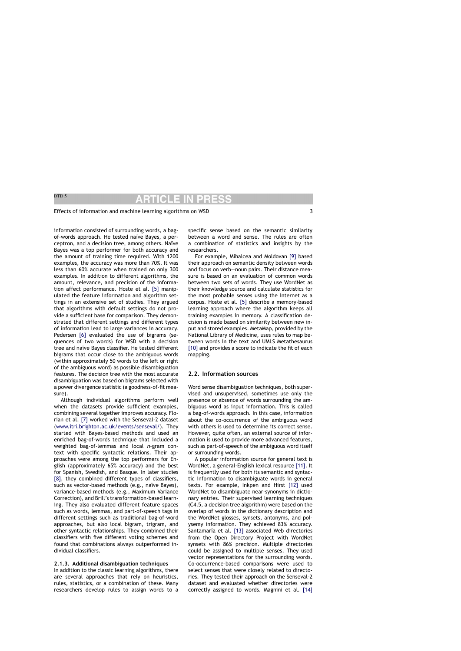### Effects of information and machine learning algorithms on WSD 3

information consisted of surrounding words, a bagof-words approach. He tested naïve Bayes, a perceptron, and a decision tree, among others. Naïve Bayes was a top performer for both accuracy and the amount of training time required. With 1200 examples, the accuracy was more than 70%. It was less than 60% accurate when trained on only 300 examples. In addition to different algorithms, the amount, relevance, and precision of the information affect performance. Hoste et al. [5] manipulated the feature information and algorithm settings in an extensive set of studies. They argued that algorithms with default settings do not provide a sufficient base for comparison. They demonstrated that different settings and different types of information lead to large variances in accuracy. Pedersen [6] evaluated the use of bigrams (sequences of two words) for WSD with a decision tree and naïve Bayes classifier. He tested different bigrams that occur close to the ambiguous words (within approximately 50 words to the left or right of the ambiguous word) as possible disambiguation features. The decision tree with the most accurate disambiguation was based on bigrams selected with a power divergence statistic (a goodness-of-fit measure).

Although individual algorithms perform well when the datasets provide sufficient examples, combining several together improves accuracy. Florian et al. [7] worked with the Senseval-2 dataset [\(www.itri.brighton.ac.uk/events/senseval/](http://www.itri.brighton.ac.uk/events/senseval/)). They started with Bayes-based methods and used an enriched bag-of-words technique that included a weighted bag-of-lemmas and local *n*-gram context with specific syntactic relations. Their approaches were among the top performers for English (approximately 65% accuracy) and the best for Spanish, Swedish, and Basque. In later studies [8], they combined different types of classifiers, such as vector-based methods (e.g., naïve Bayes), variance-based methods (e.g., Maximum Variance Correction), and Brill's transformation-based learning. They also evaluated different feature spaces such as words, lemmas, and part-of-speech tags in different settings such as traditional bag-of-word approaches, but also local bigram, trigram, and other syntactic relationships. They combined their classifiers with five different voting schemes and found that combinations always outperformed individual classifiers.

### **2.1.3. Additional disambiguation techniques**

In addition to the classic learning algorithms, there are several approaches that rely on heuristics, rules, statistics, or a combination of these. Many researchers develop rules to assign words to a specific sense based on the semantic similarity between a word and sense. The rules are often a combination of statistics and insights by the researchers.

For example, Mihalcea and Moldovan [9] based their approach on semantic density between words and focus on verb—noun pairs. Their distance measure is based on an evaluation of common words between two sets of words. They use WordNet as their knowledge source and calculate statistics for the most probable senses using the Internet as a corpus. Hoste et al. [5] describe a memory-based learning approach where the algorithm keeps all training examples in memory. A classification decision is made based on similarity between new input and stored examples. MetaMap, provided by the National Library of Medicine, uses rules to map between words in the text and UMLS Metathesaurus [10] and provides a score to indicate the fit of each mapping.

### **2.2. Information sources**

Word sense disambiguation techniques, both supervised and unsupervised, sometimes use only the presence or absence of words surrounding the ambiguous word as input information. This is called a bag-of-words approach. In this case, information about the co-occurrence of the ambiguous word with others is used to determine its correct sense. However, quite often, an external source of information is used to provide more advanced features, such as part-of-speech of the ambiguous word itself or surrounding words.

A popular information source for general text is WordNet, a general-English lexical resource [11]. It is frequently used for both its semantic and syntactic information to disambiguate words in general texts. For example, Inkpen and Hirst [12] used WordNet to disambiguate near-synonyms in dictionary entries. Their supervised learning techniques (C4.5, a decision tree algorithm) were based on the overlap of words in the dictionary description and the WordNet glosses, synsets, antonyms, and polysemy information. They achieved 83% accuracy. Santamaría et al. [13] associated Web directories from the Open Directory Project with WordNet synsets with 86% precision. Multiple directories could be assigned to multiple senses. They used vector representations for the surrounding words. Co-occurrence-based comparisons were used to select senses that were closely related to directories. They tested their approach on the Senseval-2 dataset and evaluated whether directories were correctly assigned to words. Magnini et al. [14]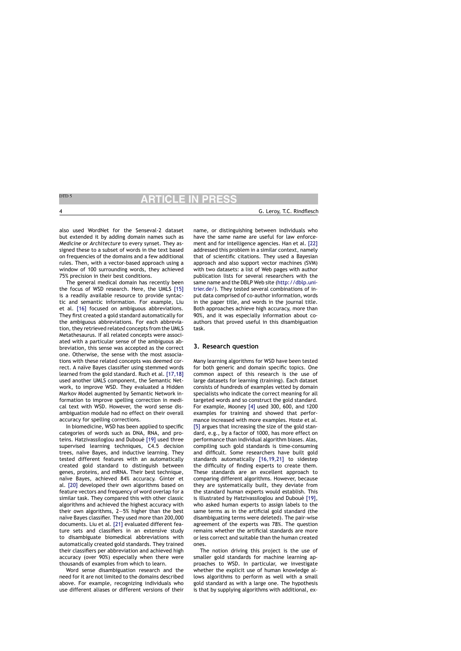also used WordNet for the Senseval-2 dataset but extended it by adding domain names such as *Medicine* or *Architecture* to every synset. They assigned these to a subset of words in the text based on frequencies of the domains and a few additional rules. Then, with a vector-based approach using a window of 100 surrounding words, they achieved 75% precision in their best conditions.

The general medical domain has recently been the focus of WSD research. Here, the UMLS [15] is a readily available resource to provide syntactic and semantic information. For example, Liu et al. [16] focused on ambiguous abbreviations. They first created a gold standard automatically for the ambiguous abbreviations. For each abbreviation, they retrieved related concepts from the UMLS Metathesaurus. If all related concepts were associated with a particular sense of the ambiguous abbreviation, this sense was accepted as the correct one. Otherwise, the sense with the most associations with these related concepts was deemed correct. A naïve Bayes classifier using stemmed words learned from the gold standard. Ruch et al. [17,18] used another UMLS component, the Semantic Network, to improve WSD. They evaluated a Hidden Markov Model augmented by Semantic Network information to improve spelling correction in medical text with WSD. However, the word sense disambiguation module had no effect on their overall accuracy for spelling corrections.

In biomedicine, WSD has been applied to specific categories of words such as DNA, RNA, and proteins. Hatzivassiloglou and Duboué [19] used three supervised learning techniques, C4.5 decision trees, naïve Bayes, and inductive learning. They tested different features with an automatically created gold standard to distinguish between genes, proteins, and mRNA. Their best technique, naïve Bayes, achieved 84% accuracy. Ginter et al. [20] developed their own algorithms based on feature vectors and frequency of word overlap for a similar task. They compared this with other classic algorithms and achieved the highest accuracy with their own algorithms, 2—5% higher than the best naïve Bayes classifier. They used more than 200,000 documents. Liu et al. [21] evaluated different feature sets and classifiers in an extensive study to disambiguate biomedical abbreviations with automatically created gold standards. They trained their classifiers per abbreviation and achieved high accuracy (over 90%) especially when there were thousands of examples from which to learn.

Word sense disambiguation research and the need for it are not limited to the domains described above. For example, recognizing individuals who use different aliases or different versions of their name, or distinguishing between individuals who have the same name are useful for law enforcement and for intelligence agencies. Han et al. [22] addressed this problem in a similar context, namely that of scientific citations. They used a Bayesian approach and also support vector machines (SVM) with two datasets: a list of Web pages with author publication lists for several researchers with the same name and the DBLP Web site [\(http://dblp.uni](http://dblp.uni-trier.de/)trier.de/). They tested several combinations of input data comprised of co-author information, words in the paper title, and words in the journal title. Both approaches achieve high accuracy, more than 90%, and it was especially information about coauthors that proved useful in this disambiguation task.

# **3. Research question**

Many learning algorithms for WSD have been tested for both generic and domain specific topics. One common aspect of this research is the use of large datasets for learning (training). Each dataset consists of hundreds of examples vetted by domain specialists who indicate the correct meaning for all targeted words and so construct the gold standard. For example, Mooney [4] used 300, 600, and 1200 examples for training and showed that performance increased with more examples. Hoste et al. [5] argues that increasing the size of the gold standard, e.g., by a factor of 1000, has more effect on performance than individual algorithm biases. Alas, compiling such gold standards is time-consuming and difficult. Some researchers have built gold standards automatically [16,19,21] to sidestep the difficulty of finding experts to create them. These standards are an excellent approach to comparing different algorithms. However, because they are systematically built, they deviate from the standard human experts would establish. This is illustrated by Hatzivassiloglou and Duboué [19], who asked human experts to assign labels to the same terms as in the artificial gold standard (the disambiguating terms were deleted). The pair-wise agreement of the experts was 78%. The question remains whether the artificial standards are more or less correct and suitable than the human created ones.

The notion driving this project is the use of smaller gold standards for machine learning approaches to WSD. In particular, we investigate whether the explicit use of human knowledge allows algorithms to perform as well with a small gold standard as with a large one. The hypothesis is that by supplying algorithms with additional, ex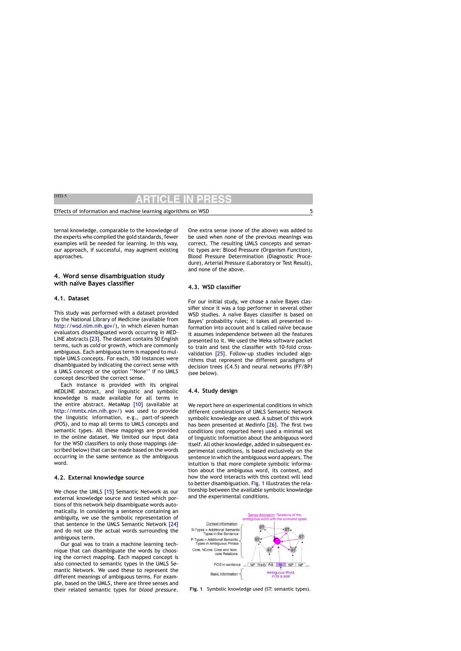ternal knowledge, comparable to the knowledge of the experts who compiled the gold standards, fewer examples will be needed for learning. In this way, our approach, if successful, may augment existing approaches.

# **4. Word sense disambiguation study with na¨ıve Bayes classifier**

# **4.1. Dataset**

This study was performed with a dataset provided by the National Library of Medicine (available from [http://wsd.nlm.nih.gov/\)](http://wsd.nlm.nih.gov/), in which eleven human evaluators disambiguated words occurring in MED-LINE abstracts [23]. The dataset contains 50 English terms, such as *cold* or *growth*, which are commonly ambiguous. Each ambiguous term is mapped to multiple UMLS concepts. For each, 100 instances were disambiguated by indicating the correct sense with a UMLS concept or the option ''None'' if no UMLS concept described the correct sense.

Each instance is provided with its original MEDLINE abstract, and linguistic and symbolic knowledge is made available for all terms in the entire abstract. MetaMap [10] (available at <http://mmtx.nlm.nih.gov/>) was used to provide the linguistic information, e.g., part-of-speech (POS), and to map all terms to UMLS concepts and semantic types. All these mappings are provided in the online dataset. We limited our input data for the WSD classifiers to only those mappings (described below) that can be made based on the words occurring in the same sentence as the ambiguous word.

### **4.2. External knowledge source**

We chose the UMLS [15] Semantic Network as our external knowledge source and tested which portions of this network help disambiguate words automatically. In considering a sentence containing an ambiguity, we use the symbolic representation of that sentence in the UMLS Semantic Network [24] and do not use the actual words surrounding the ambiguous term.

Our goal was to train a machine learning technique that can disambiguate the words by choosing the correct mapping. Each mapped concept is also connected to semantic types in the UMLS Semantic Network. We used these to represent the different meanings of ambiguous terms. For example, based on the UMLS, there are three senses and their related semantic types for *blood pressure*. One extra sense (none of the above) was added to be used when none of the previous meanings was correct. The resulting UMLS concepts and semantic types are: Blood Pressure (Organism Function), Blood Pressure Determination (Diagnostic Procedure), Arterial Pressure (Laboratory or Test Result), and none of the above.

# **4.3. WSD classifier**

For our initial study, we chose a naïve Bayes classifier since it was a top performer in several other WSD studies. A naïve Bayes classifier is based on Bayes' probability rules; it takes all presented information into account and is called naïve because it assumes independence between all the features presented to it. We used the Weka software packet to train and test the classifier with 10-fold crossvalidation [25]. Follow-up studies included algorithms that represent the different paradigms of decision trees (C4.5) and neural networks (FF/BP) (see below).

# **4.4. Study design**

We report here on experimental conditions in which different combinations of UMLS Semantic Network symbolic knowledge are used. A subset of this work has been presented at Medinfo [26]. The first two conditions (not reported here) used a minimal set of linguistic information about the ambiguous word itself. All other knowledge, added in subsequent experimental conditions, is based exclusively on the sentence in which the ambiguous word appears. The intuition is that more complete symbolic information about the ambiguous word, its context, and how the word interacts with this context will lead to better disambiguation. Fig. 1 illustrates the relationship between the available symbolic knowledge and the experimental conditions.



**Fig. 1** Symbolic knowledge used (ST: semantic types).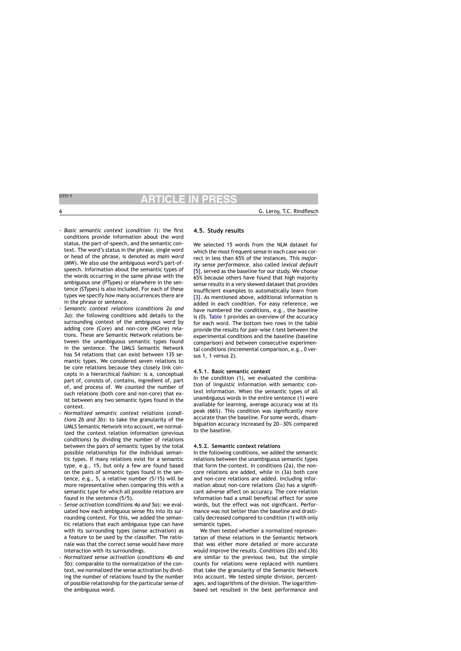- *Basic semantic context* (*condition 1*): the first conditions provide information about the word status, the part-of-speech, and the semantic context. The word's status in the phrase, single word or head of the phrase, is denoted as *main word* (MW). We also use the ambiguous word's part-ofspeech. Information about the semantic types of the words occurring in the same phrase with the ambiguous one (PTypes) or elsewhere in the sentence (STypes) is also included. For each of these types we specify how many occurrences there are in the phrase or sentence.
- *Semantic context relations* (*conditions 2a and 3a*): the following conditions add details to the surrounding context of the ambiguous word by adding core (Core) and non-core (NCore) relations. These are Semantic Network relations between the unambiguous semantic types found in the sentence. The UMLS Semantic Network has 54 relations that can exist between 135 semantic types. We considered seven relations to be core relations because they closely link concepts in a hierarchical fashion: is a, conceptual part of, consists of, contains, ingredient of, part of, and process of. We counted the number of such relations (both core and non-core) that exist between any two semantic types found in the context.
- *Normalized semantic context relations* (*conditions 2b and 3b*): to take the granularity of the UMLS Semantic Network into account, we normalized the context relation information (previous conditions) by dividing the number of relations between the pairs of semantic types by the total possible relationships for the individual semantic types. If many relations exist for a semantic type, e.g., 15, but only a few are found based on the pairs of semantic types found in the sentence, e.g., 5, a relative number (5/15) will be more representative when comparing this with a semantic type for which all possible relations are found in the sentence (5/5).
- *Sense activation* (*conditions 4a and 5a*): we evaluated how each ambiguous sense fits into its surrounding context. For this, we added the semantic relations that each ambiguous type can have with its surrounding types (sense activation) as a feature to be used by the classifier. The rationale was that the correct sense would have more interaction with its surroundings.
- *Normalized sense activation* (*conditions 4b and 5b*): comparable to the normalization of the context, we normalized the sense activation by dividing the number of relations found by the number of possible relationship for the particular sense of the ambiguous word.

# **4.5. Study results**

We selected 15 words from the NLM dataset for which the most frequent sense in each case was correct in less than 65% of the instances. This *majority sense performance*, also called *lexical default* [5], served as the baseline for our study. We choose 65% because others have found that high majority sense results in a very skewed dataset that provides insufficient examples to automatically learn from [3]. As mentioned above, additional information is added in each condition. For easy reference, we have numbered the conditions, e.g., the baseline is (0). Table 1 provides an overview of the accuracy for each word. The bottom two rows in the table provide the results for pair-wise *t*-test between the experimental conditions and the baseline (baseline comparison) and between consecutive experimental conditions (incremental comparison, e.g., 0 versus 1, 1 versus 2).

### **4.5.1. Basic semantic context**

In the condition (1), we evaluated the combination of linguistic information with semantic context information. When the semantic types of all unambiguous words in the entire sentence (1) were available for learning, average accuracy was at its peak (66%). This condition was significantly more accurate than the baseline. For some words, disambiguation accuracy increased by 20—30% compared to the baseline.

### **4.5.2. Semantic context relations**

In the following conditions, we added the semantic relations between the unambiguous semantic types that form the context. In conditions (2a), the noncore relations are added, while in (3a) both core and non-core relations are added. Including information about non-core relations (2a) has a significant adverse affect on accuracy. The core relation information had a small beneficial effect for some words, but the effect was not significant. Performance was not better than the baseline and drastically decreased compared to condition (1) with only semantic types.

We then tested whether a normalized representation of these relations in the Semantic Network that was either more detailed or more accurate would improve the results. Conditions (2b) and (3b) are similar to the previous two, but the simple counts for relations were replaced with numbers that take the granularity of the Semantic Network into account. We tested simple division, percentages, and logarithms of the division. The logarithmbased set resulted in the best performance and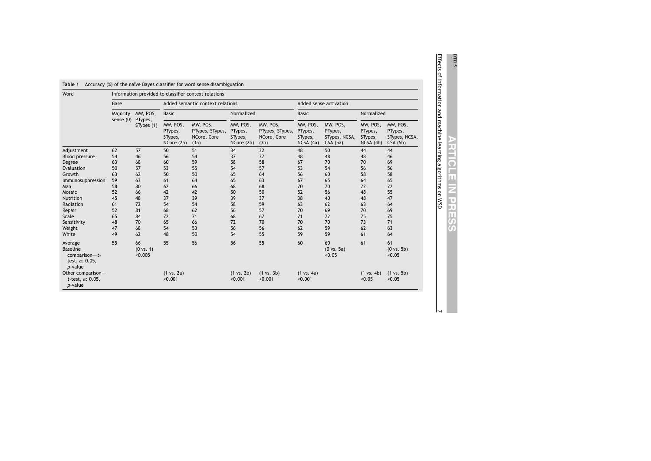| Word                                                                         | Information provided to classifier context relations |                                 |                                              |                                                    |                                              |                                                    |                                            |                                                 |                                             |                                                 |  |
|------------------------------------------------------------------------------|------------------------------------------------------|---------------------------------|----------------------------------------------|----------------------------------------------------|----------------------------------------------|----------------------------------------------------|--------------------------------------------|-------------------------------------------------|---------------------------------------------|-------------------------------------------------|--|
|                                                                              | Base                                                 |                                 | Added semantic context relations             |                                                    |                                              | Added sense activation                             |                                            |                                                 |                                             |                                                 |  |
|                                                                              | Majority<br>sense (0) PTypes,                        | MW, POS,<br>STypes (1)          | <b>Basic</b>                                 |                                                    | Normalized                                   |                                                    | <b>Basic</b>                               |                                                 | Normalized                                  |                                                 |  |
|                                                                              |                                                      |                                 | MW, POS,<br>PTypes,<br>STypes,<br>NCore (2a) | MW, POS,<br>PTypes, STypes,<br>NCore, Core<br>(3a) | MW, POS,<br>PTypes,<br>STypes,<br>NCore (2b) | MW, POS,<br>PTypes, STypes,<br>NCore, Core<br>(3b) | MW, POS,<br>PTypes,<br>STypes,<br>NCSA(4a) | MW, POS,<br>PTypes,<br>STypes, NCSA,<br>CSA(5a) | MW, POS,<br>PTypes,<br>STypes,<br>NCSA (4b) | MW, POS,<br>PTypes,<br>STypes, NCSA,<br>CSA(5b) |  |
| Adjustment                                                                   | 62                                                   | 57                              | 50                                           | 51                                                 | 34                                           | 32                                                 | 48                                         | 50                                              | 44                                          | 44                                              |  |
| <b>Blood pressure</b>                                                        | 54                                                   | 46                              | 56                                           | 54                                                 | 37                                           | 37                                                 | 48                                         | 48                                              | 48                                          | 46                                              |  |
| Degree                                                                       | 63                                                   | 68                              | 60                                           | 59                                                 | 58                                           | 58                                                 | 67                                         | 70                                              | 70                                          | 69                                              |  |
| Evaluation                                                                   | 50                                                   | 57                              | 53                                           | 55                                                 | 54                                           | 57                                                 | 53                                         | 54                                              | 56                                          | 56                                              |  |
| Growth                                                                       | 63                                                   | 62                              | 50                                           | 50                                                 | 65                                           | 64                                                 | 56                                         | 60                                              | 58                                          | 58                                              |  |
| Immunosuppression                                                            | 59                                                   | 63                              | 61                                           | 64                                                 | 65                                           | 63                                                 | 67                                         | 65                                              | 64                                          | 65                                              |  |
| Man                                                                          | 58                                                   | 80                              | 62                                           | 66                                                 | 68                                           | 68                                                 | 70                                         | 70                                              | 72                                          | 72                                              |  |
| Mosaic                                                                       | 52                                                   | 66                              | 42                                           | 42                                                 | 50                                           | 50                                                 | 52                                         | 56                                              | 48                                          | 55                                              |  |
| <b>Nutrition</b>                                                             | 45                                                   | 48                              | 37                                           | 39                                                 | 39                                           | 37                                                 | 38                                         | 40                                              | 48                                          | 47                                              |  |
| Radiation                                                                    | 61                                                   | 72                              | 54                                           | 54                                                 | 58                                           | 59                                                 | 63                                         | 62                                              | 63                                          | 64                                              |  |
| Repair                                                                       | 52                                                   | 81                              | 68                                           | 62                                                 | 56                                           | 57                                                 | 70                                         | 69                                              | 70                                          | 69                                              |  |
| Scale                                                                        | 65                                                   | 84                              | 72                                           | 71                                                 | 68                                           | 67                                                 | 71                                         | 72                                              | 75                                          | 75                                              |  |
| Sensitivity                                                                  | 48                                                   | 70                              | 65                                           | 66                                                 | 72                                           | 70                                                 | 70                                         | 70                                              | 73                                          | 71                                              |  |
| Weight                                                                       | 47                                                   | 68                              | 54                                           | 53                                                 | 56                                           | 56                                                 | 62                                         | 59                                              | 62                                          | 63                                              |  |
| White                                                                        | 49                                                   | 62                              | 48                                           | 50                                                 | 54                                           | 55                                                 | 59                                         | 59                                              | 61                                          | 64                                              |  |
| Average                                                                      | 55                                                   | 66                              | 55                                           | 56                                                 | 56                                           | 55                                                 | 60                                         | 60                                              | 61                                          | 61                                              |  |
| <b>Baseline</b><br>comparison- $t$ -<br>test, $\alpha$ : 0.05,<br>$p$ -value |                                                      | $(0 \text{ vs. } 1)$<br>< 0.005 |                                              |                                                    |                                              |                                                    |                                            | $(0 \text{ vs. } 5a)$<br>< 0.05                 |                                             | $(0 \text{ vs. } 5b)$<br>< 0.05                 |  |
| Other comparison-<br>t-test, $\alpha$ : 0.05,<br>p-value                     |                                                      |                                 | $(1 \text{ vs. } 2a)$<br>< 0.001             |                                                    | (1 vs. 2b)<br>< 0.001                        | $(1 \text{ vs. } 3b)$<br>< 0.001                   | $(1 \text{ vs. } 4a)$<br>< 0.001           |                                                 | $(1 \text{ vs. } 4b)$<br>< 0.05             | $(1 \text{ vs. } 5b)$<br>< 0.05                 |  |

**ARTICLE IN PRES** 

To

**DTD 5**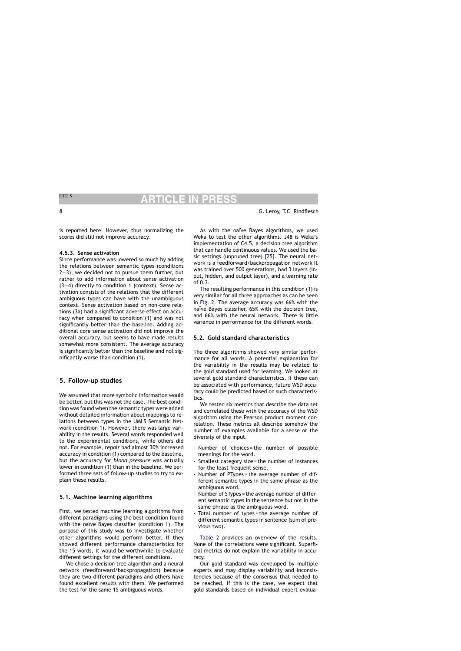is reported here. However, thus normalizing the scores did still not improve accuracy.

# **4.5.3. Sense activation**

Since performance was lowered so much by adding the relations between semantic types (conditions 2—3), we decided not to pursue them further, but rather to add information about sense activation  $(3-4)$  directly to condition 1 (context). Sense activation consists of the relations that the different ambiguous types can have with the unambiguous context. Sense activation based on non-core relations (3a) had a significant adverse effect on accuracy when compared to condition (1) and was not significantly better than the baseline. Adding additional core sense activation did not improve the overall accuracy, but seems to have made results somewhat more consistent. The average accuracy is significantly better than the baseline and not significantly worse than condition (1).

# **5. Follow-up studies**

We assumed that more symbolic information would be better, but this was not the case. The best condition was found when the semantic types were added without detailed information about mappings to relations between types in the UMLS Semantic Network (condition 1). However, there was large variability in the results. Several words responded well to the experimental conditions, while others did not. For example, *repair* had almost 30% increased accuracy in condition (1) compared to the baseline, but the accuracy for *blood pressure* was actually lower in condition (1) than in the baseline. We performed three sets of follow-up studies to try to explain these results.

# **5.1. Machine learning algorithms**

First, we tested machine learning algorithms from different paradigms using the best condition found with the naïve Bayes classifier (condition 1). The purpose of this study was to investigate whether other algorithms would perform better. If they showed different performance characteristics for the 15 words, it would be worthwhile to evaluate different settings for the different conditions.

We chose a decision tree algorithm and a neural network (feedforward/backpropagation) because they are two different paradigms and others have found excellent results with them. We performed the test for the same 15 ambiguous words.

As with the naïve Bayes algorithms, we used Weka to test the other algorithms. J48 is Weka's implementation of C4.5, a decision tree algorithm that can handle continuous values. We used the basic settings (unpruned tree) [25]. The neural network is a feedforward/backpropagation network It was trained over 500 generations, had 3 layers (input, hidden, and output layer), and a learning rate of 0.3.

The resulting performance in this condition (1) is very similar for all three approaches as can be seen in Fig. 2. The average accuracy was 66% with the naïve Bayes classifier, 65% with the decision tree, and 66% with the neural network. There is little variance in performance for the different words.

# **5.2. Gold standard characteristics**

The three algorithms showed very similar performance for all words. A potential explanation for the variability in the results may be related to the gold standard used for learning. We looked at several gold standard characteristics. If these can be associated with performance, future WSD accuracy could be predicted based on such characteristics.

We tested six metrics that describe the data set and correlated these with the accuracy of the WSD algorithm using the Pearson product moment correlation. These metrics all describe somehow the number of examples available for a sense or the diversity of the input.

- Number of choices = the number of possible meanings for the word.
- Smallest category size = the number of instances for the least frequent sense.
- Number of PTypes = the average number of different semantic types in the same phrase as the ambiguous word.
- Number of STypes = the average number of different semantic types in the sentence but not in the same phrase as the ambiguous word.
- Total number of types = the average number of different semantic types in sentence (sum of previous two).

Table 2 provides an overview of the results. None of the correlations were significant. Superficial metrics do not explain the variability in accuracy.

Our gold standard was developed by multiple experts and may display variability and inconsistencies because of the consensus that needed to be reached. If this is the case, we expect that gold standards based on individual expert evalua-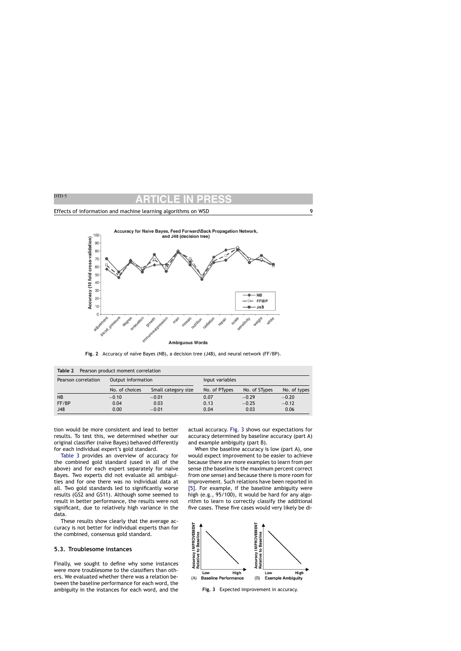### Effects of information and machine learning algorithms on WSD 9



Fig. 2 Accuracy of naïve Bayes (NB), a decision tree (J48), and neural network (FF/BP).

| Table 2<br>Pearson product moment correlation |                    |                     |                 |               |              |  |  |  |  |  |
|-----------------------------------------------|--------------------|---------------------|-----------------|---------------|--------------|--|--|--|--|--|
| Pearson correlation                           | Output information |                     | Input variables |               |              |  |  |  |  |  |
|                                               | No. of choices     | Small category size | No. of PTypes   | No. of STypes | No. of types |  |  |  |  |  |
| <b>NB</b>                                     | $-0.10$            | $-0.01$             | 0.07            | $-0.29$       | $-0.20$      |  |  |  |  |  |
| FF/BP                                         | 0.04               | 0.03                | 0.13            | $-0.25$       | $-0.12$      |  |  |  |  |  |
| J48                                           | 0.00               | $-0.01$             | 0.04            | 0.03          | 0.06         |  |  |  |  |  |

tion would be more consistent and lead to better results. To test this, we determined whether our original classifier (naïve Bayes) behaved differently for each individual expert's gold standard.

Table 3 provides an overview of accuracy for the combined gold standard (used in all of the above) and for each expert separately for naïve Bayes. Two experts did not evaluate all ambiguities and for one there was no individual data at all. Two gold standards led to significantly worse results (GS2 and GS11). Although some seemed to result in better performance, the results were not significant, due to relatively high variance in the data.

These results show clearly that the average accuracy is not better for individual experts than for the combined, consensus gold standard.

### **5.3. Troublesome instances**

Finally, we sought to define why some instances were more troublesome to the classifiers than others. We evaluated whether there was a relation between the baseline performance for each word, the ambiguity in the instances for each word, and the actual accuracy. Fig. 3 shows our expectations for accuracy determined by baseline accuracy (part A) and example ambiguity (part B).

When the baseline accuracy is low (part A), one would expect improvement to be easier to achieve because there are more examples to learn from per sense (the baseline is the maximum percent correct from one sense) and because there is more room for improvement. Such relations have been reported in [5]. For example, if the baseline ambiguity were high (e.g., 95/100), it would be hard for any algorithm to learn to correctly classify the additional five cases. These five cases would very likely be di-



**Fig. 3** Expected improvement in accuracy.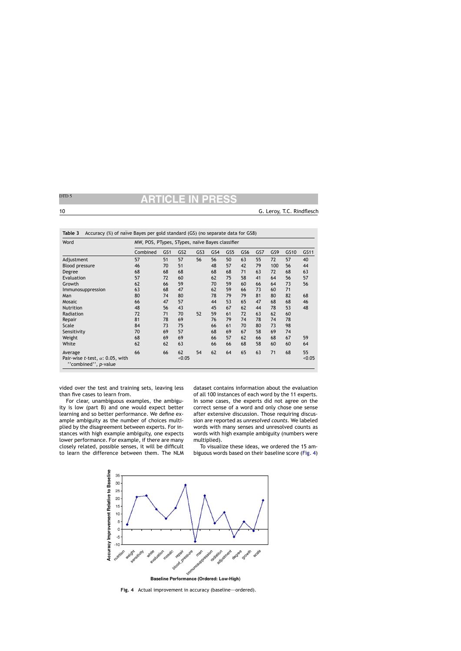| Word                                                           | MW, POS, PTypes, STypes, naïve Bayes classifier |     |                 |     |     |                 |                 |     |     |      |        |
|----------------------------------------------------------------|-------------------------------------------------|-----|-----------------|-----|-----|-----------------|-----------------|-----|-----|------|--------|
|                                                                | Combined                                        | GS1 | GS <sub>2</sub> | GS3 | GS4 | GS <sub>5</sub> | GS <sub>6</sub> | GS7 | GS9 | GS10 | GS11   |
| Adjustment                                                     | 57                                              | 51  | 57              | 56  | 56  | 50              | 63              | 55  | 72  | 57   | 40     |
| <b>Blood pressure</b>                                          | 46                                              | 70  | 51              |     | 48  | 57              | 42              | 79  | 100 | 56   | 44     |
| Degree                                                         | 68                                              | 68  | 68              |     | 68  | 68              | 71              | 63  | 72  | 68   | 63     |
| Evaluation                                                     | 57                                              | 72  | 60              |     | 62  | 75              | 58              | 41  | 64  | 56   | 57     |
| Growth                                                         | 62                                              | 66  | 59              |     | 70  | 59              | 60              | 66  | 64  | 73   | 56     |
| Immunosuppression                                              | 63                                              | 68  | 47              |     | 62  | 59              | 66              | 73  | 60  | 71   |        |
| Man                                                            | 80                                              | 74  | 80              |     | 78  | 79              | 79              | 81  | 80  | 82   | 68     |
| Mosaic                                                         | 66                                              | 47  | 57              |     | 44  | 53              | 65              | 47  | 68  | 68   | 46     |
| <b>Nutrition</b>                                               | 48                                              | 56  | 43              |     | 45  | 67              | 62              | 44  | 78  | 53   | 48     |
| Radiation                                                      | 72                                              | 71  | 70              | 52  | 59  | 61              | 72              | 63  | 62  | 60   |        |
| Repair                                                         | 81                                              | 78  | 69              |     | 76  | 79              | 74              | 78  | 74  | 78   |        |
| Scale                                                          | 84                                              | 73  | 75              |     | 66  | 61              | 70              | 80  | 73  | 98   |        |
| Sensitivity                                                    | 70                                              | 69  | 57              |     | 68  | 69              | 67              | 58  | 69  | 74   |        |
| Weight                                                         | 68                                              | 69  | 69              |     | 66  | 57              | 62              | 66  | 68  | 67   | 59     |
| White                                                          | 62                                              | 62  | 63              |     | 66  | 66              | 68              | 58  | 60  | 60   | 64     |
| Average                                                        | 66                                              | 66  | 62              | 54  | 62  | 64              | 65              | 63  | 71  | 68   | 55     |
| Pair-wise t-test, $\alpha$ : 0.05, with<br>"combined", p-value |                                                 |     | < 0.05          |     |     |                 |                 |     |     |      | < 0.05 |

|  |  |  |  | Table 3 Accuracy (%) of naïve Bayes per gold standard (GS) (no separate data for GS8) |  |
|--|--|--|--|---------------------------------------------------------------------------------------|--|
|--|--|--|--|---------------------------------------------------------------------------------------|--|

vided over the test and training sets, leaving less than five cases to learn from.

For clear, unambiguous examples, the ambiguity is low (part B) and one would expect better learning and so better performance. We define example ambiguity as the number of choices multiplied by the disagreement between experts. For instances with high example ambiguity, one expects lower performance. For example, if there are many closely related, possible senses, it will be difficult to learn the difference between them. The NLM dataset contains information about the evaluation of all 100 instances of each word by the 11 experts. In some cases, the experts did not agree on the correct sense of a word and only chose one sense after extensive discussion. Those requiring discussion are reported as *unresolved counts*. We labeled words with many senses and unresolved counts as words with high example ambiguity (numbers were multiplied).

To visualize these ideas, we ordered the 15 ambiguous words based on their baseline score (Fig. 4)



Fig. 4 Actual improvement in accuracy (baseline—ordered).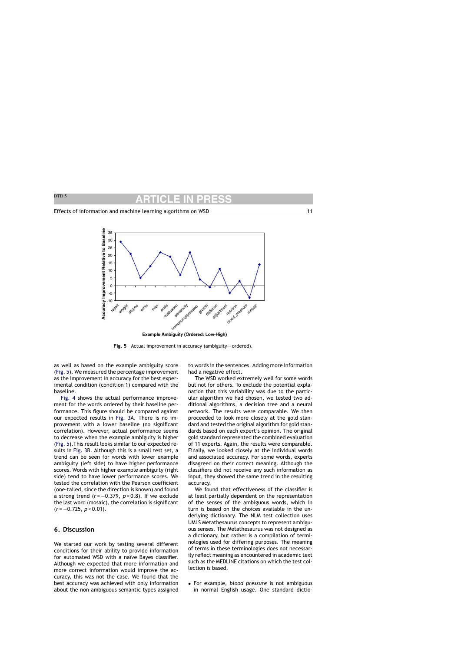

**Example Ambiguity (Ordered: Low-High)** 

Fig. 5 Actual improvement in accuracy (ambiguity—ordered).

as well as based on the example ambiguity score (Fig. 5). We measured the percentage improvement as the improvement in accuracy for the best experimental condition (condition 1) compared with the baseline.

Fig. 4 shows the actual performance improvement for the words ordered by their baseline performance. This figure should be compared against our expected results in Fig. 3A. There is no improvement with a lower baseline (no significant correlation). However, actual performance seems to decrease when the example ambiguity is higher (Fig. 5).This result looks similar to our expected results in Fig. 3B. Although this is a small test set, a trend can be seen for words with lower example ambiguity (left side) to have higher performance scores. Words with higher example ambiguity (right side) tend to have lower performance scores. We tested the correlation with the Pearson coefficient (one-tailed, since the direction is known) and found a strong trend (*r* = −0.379, *p* = 0.8). If we exclude the last word (mosaic), the correlation is significant (*r* = −0.725, *p* < 0.01).

# **6. Discussion**

We started our work by testing several different conditions for their ability to provide information for automated WSD with a naïve Bayes classifier. Although we expected that more information and more correct information would improve the accuracy, this was not the case. We found that the best accuracy was achieved with only information about the non-ambiguous semantic types assigned to words in the sentences. Adding more information had a negative effect.

The WSD worked extremely well for some words but not for others. To exclude the potential explanation that this variability was due to the particular algorithm we had chosen, we tested two additional algorithms, a decision tree and a neural network. The results were comparable. We then proceeded to look more closely at the gold standard and tested the original algorithm for gold standards based on each expert's opinion. The original gold standard represented the combined evaluation of 11 experts. Again, the results were comparable. Finally, we looked closely at the individual words and associated accuracy. For some words, experts disagreed on their correct meaning. Although the classifiers did not receive any such information as input, they showed the same trend in the resulting accuracy.

We found that effectiveness of the classifier is at least partially dependent on the representation of the senses of the ambiguous words, which in turn is based on the choices available in the underlying dictionary. The NLM test collection uses UMLS Metathesaurus concepts to represent ambiguous senses. The Metathesaurus was not designed as a dictionary, but rather is a compilation of terminologies used for differing purposes. The meaning of terms in these terminologies does not necessarily reflect meaning as encountered in academic text such as the MEDLINE citations on which the test collection is based.

• For example, *blood pressure* is not ambiguous in normal English usage. One standard dictio-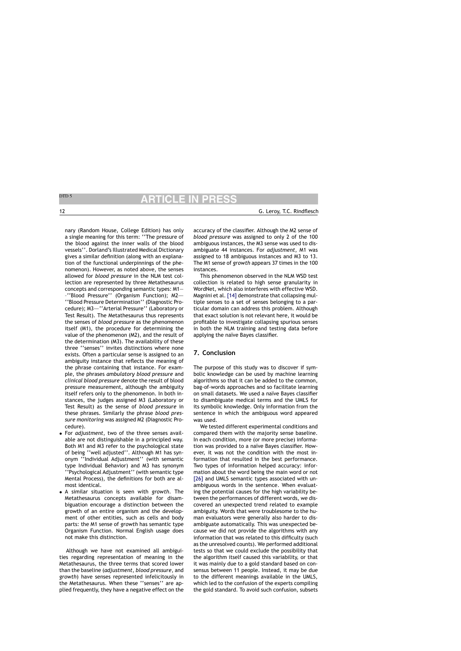nary (Random House, College Edition) has only a single meaning for this term: ''The pressure of the blood against the inner walls of the blood vessels''. Dorland's Illustrated Medical Dictionary gives a similar definition (along with an explanation of the functional underpinnings of the phenomenon). However, as noted above, the senses allowed for *blood pressure* in the NLM test collection are represented by three Metathesaurus concepts and corresponding semantic types: M1— –''Blood Pressure'' (Organism Function); M2—– ''Blood Pressure Determination'' (Diagnostic Procedure); M3—–''Arterial Pressure'' (Laboratory or Test Result). The Metathesaurus thus represents the senses of *blood pressure* as the phenomenon itself (M1), the procedure for determining the value of the phenomenon (M2), and the result of the determination (M3). The availability of these three ''senses'' invites distinctions where none exists. Often a particular sense is assigned to an ambiguity instance that reflects the meaning of the phrase containing that instance. For example, the phrases *ambulatory blood pressure* and *clinical blood pressure* denote the result of blood pressure measurement, although the ambiguity itself refers only to the phenomenon. In both instances, the judges assigned M3 (Laboratory or Test Result) as the sense of *blood pressure* in these phrases. Similarly the phrase *blood pressure monitoring* was assigned M2 (Diagnostic Procedure).

- For *adjustment*, two of the three senses available are not distinguishable in a principled way. Both M1 and M3 refer to the psychological state of being ''well adjusted''. Although M1 has synonym ''Individual Adjustment'' (with semantic type Individual Behavior) and M3 has synonym ''Psychological Adjustment'' (with semantic type Mental Process), the definitions for both are almost identical.
- A similar situation is seen with *growth*. The Metathesaurus concepts available for disambiguation encourage a distinction between the growth of an entire organism and the development of other entities, such as cells and body parts: the M1 sense of *growth* has semantic type Organism Function. Normal English usage does not make this distinction.

Although we have not examined all ambiguities regarding representation of meaning in the Metathesaurus, the three terms that scored lower than the baseline (*adjustment*, *blood pressure*, and *growth*) have senses represented infelicitously in the Metathesaurus. When these ''senses'' are applied frequently, they have a negative effect on the

accuracy of the classifier. Although the M2 sense of *blood pressure* was assigned to only 2 of the 100 ambiguous instances, the M3 sense was used to disambiguate 44 instances. For *adjustment*, M1 was assigned to 18 ambiguous instances and M3 to 13. The M1 sense of *growth* appears 37 times in the 100 instances.

This phenomenon observed in the NLM WSD test collection is related to high sense granularity in WordNet, which also interferes with effective WSD. Magnini et al. [14] demonstrate that collapsing multiple senses to a set of senses belonging to a particular domain can address this problem. Although that exact solution is not relevant here, it would be profitable to investigate collapsing spurious senses in both the NLM training and testing data before applying the naïve Bayes classifier.

# **7. Conclusion**

The purpose of this study was to discover if symbolic knowledge can be used by machine learning algorithms so that it can be added to the common, bag-of-words approaches and so facilitate learning on small datasets. We used a na¨ıve Bayes classifier to disambiguate medical terms and the UMLS for its symbolic knowledge. Only information from the sentence in which the ambiguous word appeared was used.

We tested different experimental conditions and compared them with the majority sense baseline. In each condition, more (or more precise) information was provided to a naïve Bayes classifier. However, it was not the condition with the most information that resulted in the best performance. Two types of information helped accuracy: information about the word being the main word or not [26] and UMLS semantic types associated with unambiguous words in the sentence. When evaluating the potential causes for the high variability between the performances of different words, we discovered an unexpected trend related to example ambiguity. Words that were troublesome to the human evaluators were generally also harder to disambiguate automatically. This was unexpected because we did not provide the algorithms with any information that was related to this difficulty (such as the unresolved counts). We performed additional tests so that we could exclude the possibility that the algorithm itself caused this variability, or that it was mainly due to a gold standard based on consensus between 11 people. Instead, it may be due to the different meanings available in the UMLS, which led to the confusion of the experts compiling the gold standard. To avoid such confusion, subsets